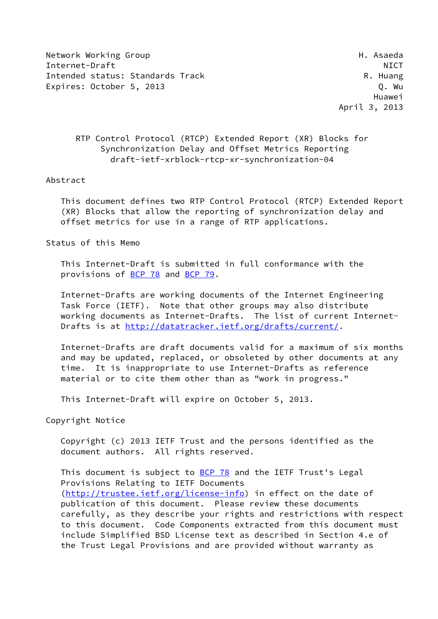Network Working Group Network Asseda Internet-Draft NICT Intended status: Standards Track R. Huang Expires: October 5, 2013 C. Nu

 Huawei April 3, 2013

# RTP Control Protocol (RTCP) Extended Report (XR) Blocks for Synchronization Delay and Offset Metrics Reporting draft-ietf-xrblock-rtcp-xr-synchronization-04

#### Abstract

 This document defines two RTP Control Protocol (RTCP) Extended Report (XR) Blocks that allow the reporting of synchronization delay and offset metrics for use in a range of RTP applications.

Status of this Memo

 This Internet-Draft is submitted in full conformance with the provisions of [BCP 78](https://datatracker.ietf.org/doc/pdf/bcp78) and [BCP 79](https://datatracker.ietf.org/doc/pdf/bcp79).

 Internet-Drafts are working documents of the Internet Engineering Task Force (IETF). Note that other groups may also distribute working documents as Internet-Drafts. The list of current Internet Drafts is at<http://datatracker.ietf.org/drafts/current/>.

 Internet-Drafts are draft documents valid for a maximum of six months and may be updated, replaced, or obsoleted by other documents at any time. It is inappropriate to use Internet-Drafts as reference material or to cite them other than as "work in progress."

This Internet-Draft will expire on October 5, 2013.

Copyright Notice

 Copyright (c) 2013 IETF Trust and the persons identified as the document authors. All rights reserved.

This document is subject to [BCP 78](https://datatracker.ietf.org/doc/pdf/bcp78) and the IETF Trust's Legal Provisions Relating to IETF Documents [\(http://trustee.ietf.org/license-info](http://trustee.ietf.org/license-info)) in effect on the date of publication of this document. Please review these documents carefully, as they describe your rights and restrictions with respect to this document. Code Components extracted from this document must include Simplified BSD License text as described in Section 4.e of the Trust Legal Provisions and are provided without warranty as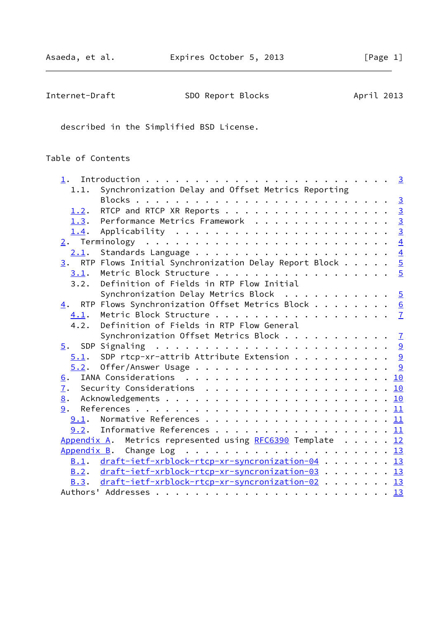| Internet-Draft | SDO Report Blocks | April 2013 |
|----------------|-------------------|------------|
|----------------|-------------------|------------|

described in the Simplified BSD License.

# Table of Contents

| 1.1. | Synchronization Delay and Offset Metrics Reporting                       |  |
|------|--------------------------------------------------------------------------|--|
|      |                                                                          |  |
| 1.2. | RTCP and RTCP XR Reports 3                                               |  |
|      | 1.3. Performance Metrics Framework 3                                     |  |
| 1.4. |                                                                          |  |
|      |                                                                          |  |
|      |                                                                          |  |
|      | $\underline{3}$ . RTP Flows Initial Synchronization Delay Report Block 5 |  |
|      | $\underline{3.1}$ . Metric Block Structure 5                             |  |
| 3.2. | Definition of Fields in RTP Flow Initial                                 |  |
|      | Synchronization Delay Metrics Block $\cdots \cdots \cdots$               |  |
|      | 4. RTP Flows Synchronization Offset Metrics Block 6                      |  |
| 4.1. |                                                                          |  |
| 4.2. | Definition of Fields in RTP Flow General                                 |  |
|      | Synchronization Offset Metrics Block $\frac{7}{2}$                       |  |
|      |                                                                          |  |
|      | $5.1$ . SDP rtcp-xr-attrib Attribute Extension 9                         |  |
|      |                                                                          |  |
|      |                                                                          |  |
| 6.   |                                                                          |  |
| 7.   |                                                                          |  |
| 8.   |                                                                          |  |
| 9.   |                                                                          |  |
|      |                                                                          |  |
|      | $9.2$ . Informative References 11                                        |  |
|      | Appendix A. Metrics represented using RFC6390 Template 12                |  |
|      |                                                                          |  |
|      | B.1. draft-ietf-xrblock-rtcp-xr-syncronization-04 13                     |  |
| B.2. | draft-ietf-xrblock-rtcp-xr-syncronization-03 13                          |  |
|      | B.3. draft-ietf-xrblock-rtcp-xr-syncronization-02 13                     |  |
|      |                                                                          |  |
|      |                                                                          |  |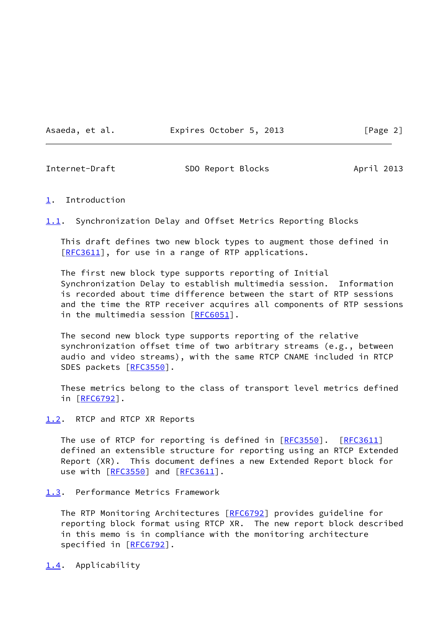Asaeda, et al. **Expires October 5, 2013** [Page 2]

<span id="page-2-1"></span>

Internet-Draft SDO Report Blocks April 2013

#### <span id="page-2-0"></span>[1](#page-2-0). Introduction

<span id="page-2-5"></span>[1.1](#page-2-5). Synchronization Delay and Offset Metrics Reporting Blocks

 This draft defines two new block types to augment those defined in [\[RFC3611](https://datatracker.ietf.org/doc/pdf/rfc3611)], for use in a range of RTP applications.

 The first new block type supports reporting of Initial Synchronization Delay to establish multimedia session. Information is recorded about time difference between the start of RTP sessions and the time the RTP receiver acquires all components of RTP sessions in the multimedia session [[RFC6051](https://datatracker.ietf.org/doc/pdf/rfc6051)].

 The second new block type supports reporting of the relative synchronization offset time of two arbitrary streams (e.g., between audio and video streams), with the same RTCP CNAME included in RTCP SDES packets [\[RFC3550](https://datatracker.ietf.org/doc/pdf/rfc3550)].

 These metrics belong to the class of transport level metrics defined in [[RFC6792\]](https://datatracker.ietf.org/doc/pdf/rfc6792).

<span id="page-2-2"></span>[1.2](#page-2-2). RTCP and RTCP XR Reports

The use of RTCP for reporting is defined in [\[RFC3550](https://datatracker.ietf.org/doc/pdf/rfc3550)]. [\[RFC3611](https://datatracker.ietf.org/doc/pdf/rfc3611)] defined an extensible structure for reporting using an RTCP Extended Report (XR). This document defines a new Extended Report block for use with [\[RFC3550](https://datatracker.ietf.org/doc/pdf/rfc3550)] and [\[RFC3611](https://datatracker.ietf.org/doc/pdf/rfc3611)].

<span id="page-2-3"></span>[1.3](#page-2-3). Performance Metrics Framework

The RTP Monitoring Architectures [\[RFC6792](https://datatracker.ietf.org/doc/pdf/rfc6792)] provides guideline for reporting block format using RTCP XR. The new report block described in this memo is in compliance with the monitoring architecture specified in [\[RFC6792](https://datatracker.ietf.org/doc/pdf/rfc6792)].

<span id="page-2-4"></span>[1.4](#page-2-4). Applicability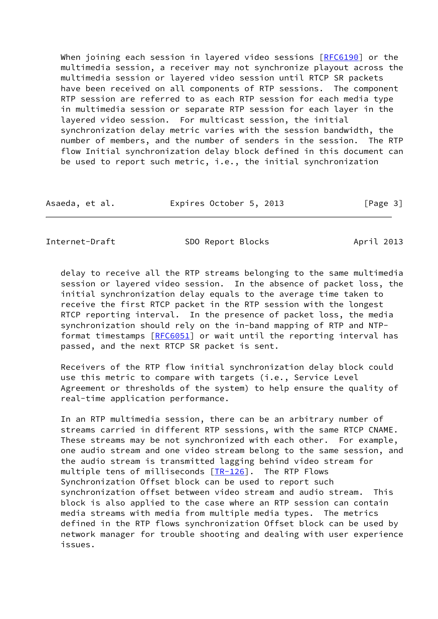When joining each session in layered video sessions [\[RFC6190](https://datatracker.ietf.org/doc/pdf/rfc6190)] or the multimedia session, a receiver may not synchronize playout across the multimedia session or layered video session until RTCP SR packets have been received on all components of RTP sessions. The component RTP session are referred to as each RTP session for each media type in multimedia session or separate RTP session for each layer in the layered video session. For multicast session, the initial synchronization delay metric varies with the session bandwidth, the number of members, and the number of senders in the session. The RTP flow Initial synchronization delay block defined in this document can be used to report such metric, i.e., the initial synchronization

| Asaeda, et al. | Expires October 5, 2013 | [Page 3] |
|----------------|-------------------------|----------|
|----------------|-------------------------|----------|

<span id="page-3-0"></span>Internet-Draft SDO Report Blocks April 2013

 delay to receive all the RTP streams belonging to the same multimedia session or layered video session. In the absence of packet loss, the initial synchronization delay equals to the average time taken to receive the first RTCP packet in the RTP session with the longest RTCP reporting interval. In the presence of packet loss, the media synchronization should rely on the in-band mapping of RTP and NTP- format timestamps [[RFC6051](https://datatracker.ietf.org/doc/pdf/rfc6051)] or wait until the reporting interval has passed, and the next RTCP SR packet is sent.

 Receivers of the RTP flow initial synchronization delay block could use this metric to compare with targets (i.e., Service Level Agreement or thresholds of the system) to help ensure the quality of real-time application performance.

 In an RTP multimedia session, there can be an arbitrary number of streams carried in different RTP sessions, with the same RTCP CNAME. These streams may be not synchronized with each other. For example, one audio stream and one video stream belong to the same session, and the audio stream is transmitted lagging behind video stream for multiple tens of milliseconds [[TR-126](#page-12-3)]. The RTP Flows Synchronization Offset block can be used to report such synchronization offset between video stream and audio stream. This block is also applied to the case where an RTP session can contain media streams with media from multiple media types. The metrics defined in the RTP flows synchronization Offset block can be used by network manager for trouble shooting and dealing with user experience issues.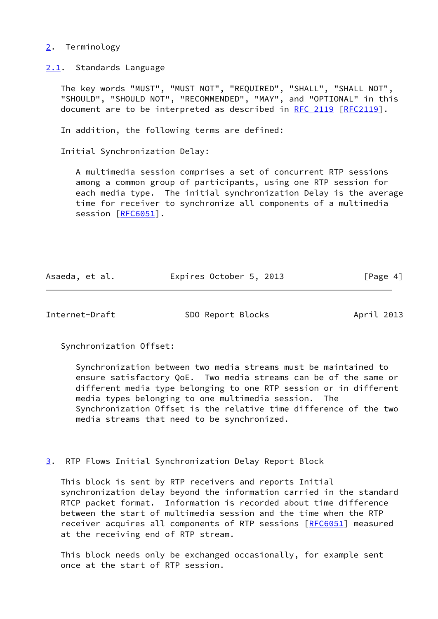### <span id="page-4-0"></span>[2](#page-4-0). Terminology

<span id="page-4-1"></span>[2.1](#page-4-1). Standards Language

 The key words "MUST", "MUST NOT", "REQUIRED", "SHALL", "SHALL NOT", "SHOULD", "SHOULD NOT", "RECOMMENDED", "MAY", and "OPTIONAL" in this document are to be interpreted as described in [RFC 2119 \[RFC2119](https://datatracker.ietf.org/doc/pdf/rfc2119)].

In addition, the following terms are defined:

Initial Synchronization Delay:

 A multimedia session comprises a set of concurrent RTP sessions among a common group of participants, using one RTP session for each media type. The initial synchronization Delay is the average time for receiver to synchronize all components of a multimedia session [[RFC6051\]](https://datatracker.ietf.org/doc/pdf/rfc6051).

| Asaeda, et al. | Expires October 5, 2013 | [Page 4] |
|----------------|-------------------------|----------|
|----------------|-------------------------|----------|

<span id="page-4-3"></span>Internet-Draft SDO Report Blocks April 2013

Synchronization Offset:

 Synchronization between two media streams must be maintained to ensure satisfactory QoE. Two media streams can be of the same or different media type belonging to one RTP session or in different media types belonging to one multimedia session. The Synchronization Offset is the relative time difference of the two media streams that need to be synchronized.

<span id="page-4-2"></span>[3](#page-4-2). RTP Flows Initial Synchronization Delay Report Block

 This block is sent by RTP receivers and reports Initial synchronization delay beyond the information carried in the standard RTCP packet format. Information is recorded about time difference between the start of multimedia session and the time when the RTP receiver acquires all components of RTP sessions [\[RFC6051](https://datatracker.ietf.org/doc/pdf/rfc6051)] measured at the receiving end of RTP stream.

 This block needs only be exchanged occasionally, for example sent once at the start of RTP session.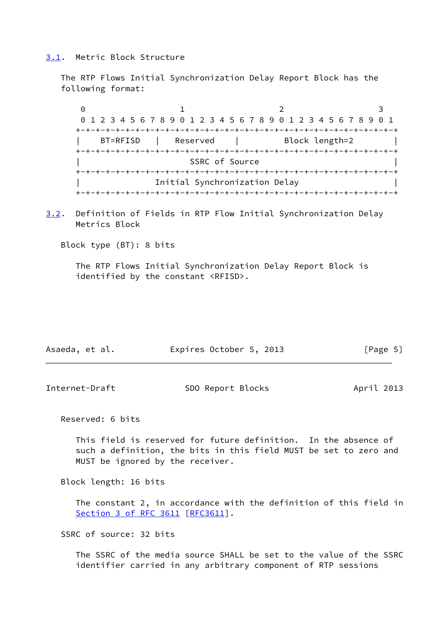#### <span id="page-5-0"></span>[3.1](#page-5-0). Metric Block Structure

 The RTP Flows Initial Synchronization Delay Report Block has the following format:

0 1 2 3 0 1 2 3 4 5 6 7 8 9 0 1 2 3 4 5 6 7 8 9 0 1 2 3 4 5 6 7 8 9 0 1 +-+-+-+-+-+-+-+-+-+-+-+-+-+-+-+-+-+-+-+-+-+-+-+-+-+-+-+-+-+-+-+-+ BT=RFISD | Reserved | Block length=2 +-+-+-+-+-+-+-+-+-+-+-+-+-+-+-+-+-+-+-+-+-+-+-+-+-+-+-+-+-+-+-+-+ SSRC of Source +-+-+-+-+-+-+-+-+-+-+-+-+-+-+-+-+-+-+-+-+-+-+-+-+-+-+-+-+-+-+-+-+ | Initial Synchronization Delay | +-+-+-+-+-+-+-+-+-+-+-+-+-+-+-+-+-+-+-+-+-+-+-+-+-+-+-+-+-+-+-+-+

<span id="page-5-2"></span>[3.2](#page-5-2). Definition of Fields in RTP Flow Initial Synchronization Delay Metrics Block

Block type (BT): 8 bits

 The RTP Flows Initial Synchronization Delay Report Block is identified by the constant <RFISD>.

| Asaeda, et al. | Expires October 5, 2013 | [Page 5] |
|----------------|-------------------------|----------|
|----------------|-------------------------|----------|

<span id="page-5-1"></span>

| Internet-Draft | SDO Report Blocks | April 2013 |
|----------------|-------------------|------------|
|----------------|-------------------|------------|

Reserved: 6 bits

 This field is reserved for future definition. In the absence of such a definition, the bits in this field MUST be set to zero and MUST be ignored by the receiver.

Block length: 16 bits

 The constant 2, in accordance with the definition of this field in Section [3 of RFC 3611](https://datatracker.ietf.org/doc/pdf/rfc3611#section-3) [\[RFC3611](https://datatracker.ietf.org/doc/pdf/rfc3611)].

SSRC of source: 32 bits

 The SSRC of the media source SHALL be set to the value of the SSRC identifier carried in any arbitrary component of RTP sessions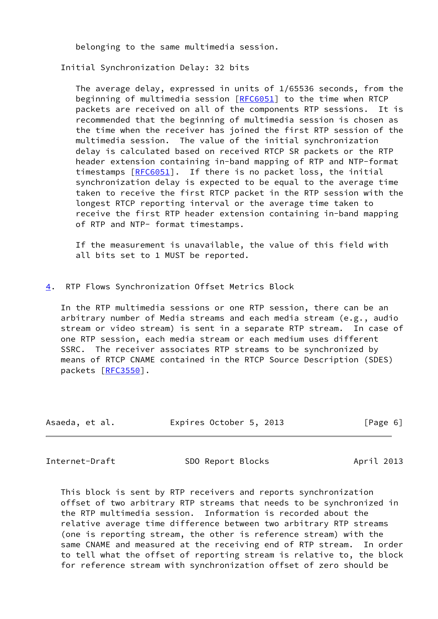belonging to the same multimedia session.

Initial Synchronization Delay: 32 bits

 The average delay, expressed in units of 1/65536 seconds, from the beginning of multimedia session [[RFC6051\]](https://datatracker.ietf.org/doc/pdf/rfc6051) to the time when RTCP packets are received on all of the components RTP sessions. It is recommended that the beginning of multimedia session is chosen as the time when the receiver has joined the first RTP session of the multimedia session. The value of the initial synchronization delay is calculated based on received RTCP SR packets or the RTP header extension containing in-band mapping of RTP and NTP-format timestamps [[RFC6051](https://datatracker.ietf.org/doc/pdf/rfc6051)]. If there is no packet loss, the initial synchronization delay is expected to be equal to the average time taken to receive the first RTCP packet in the RTP session with the longest RTCP reporting interval or the average time taken to receive the first RTP header extension containing in-band mapping of RTP and NTP- format timestamps.

 If the measurement is unavailable, the value of this field with all bits set to 1 MUST be reported.

## <span id="page-6-0"></span>[4](#page-6-0). RTP Flows Synchronization Offset Metrics Block

 In the RTP multimedia sessions or one RTP session, there can be an arbitrary number of Media streams and each media stream (e.g., audio stream or video stream) is sent in a separate RTP stream. In case of one RTP session, each media stream or each medium uses different SSRC. The receiver associates RTP streams to be synchronized by means of RTCP CNAME contained in the RTCP Source Description (SDES) packets [\[RFC3550](https://datatracker.ietf.org/doc/pdf/rfc3550)].

| Asaeda, et al. | Expires October 5, 2013 | [Page 6] |
|----------------|-------------------------|----------|
|                |                         |          |

<span id="page-6-1"></span>

Internet-Draft SDO Report Blocks April 2013

 This block is sent by RTP receivers and reports synchronization offset of two arbitrary RTP streams that needs to be synchronized in the RTP multimedia session. Information is recorded about the relative average time difference between two arbitrary RTP streams (one is reporting stream, the other is reference stream) with the same CNAME and measured at the receiving end of RTP stream. In order to tell what the offset of reporting stream is relative to, the block for reference stream with synchronization offset of zero should be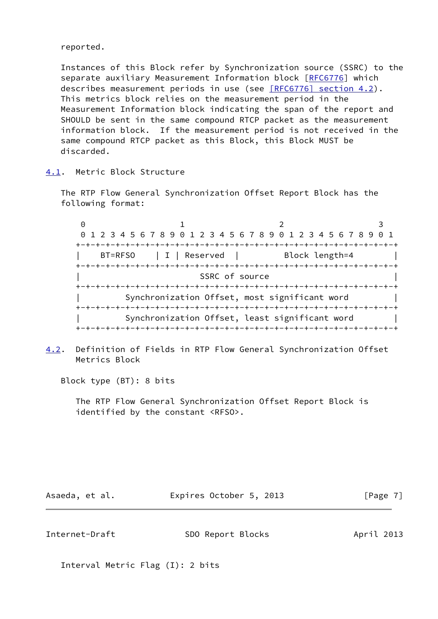reported.

 Instances of this Block refer by Synchronization source (SSRC) to the separate auxiliary Measurement Information block [\[RFC6776](https://datatracker.ietf.org/doc/pdf/rfc6776)] which describes measurement periods in use (see [\[RFC6776\] section](https://datatracker.ietf.org/doc/pdf/rfc6776#section-4.2) 4.2). This metrics block relies on the measurement period in the Measurement Information block indicating the span of the report and SHOULD be sent in the same compound RTCP packet as the measurement information block. If the measurement period is not received in the same compound RTCP packet as this Block, this Block MUST be discarded.

<span id="page-7-0"></span>[4.1](#page-7-0). Metric Block Structure

 The RTP Flow General Synchronization Offset Report Block has the following format:

0 1 2 3 0 1 2 3 4 5 6 7 8 9 0 1 2 3 4 5 6 7 8 9 0 1 2 3 4 5 6 7 8 9 0 1 +-+-+-+-+-+-+-+-+-+-+-+-+-+-+-+-+-+-+-+-+-+-+-+-+-+-+-+-+-+-+-+-+ BT=RFSO | I | Reserved | Block length=4 +-+-+-+-+-+-+-+-+-+-+-+-+-+-+-+-+-+-+-+-+-+-+-+-+-+-+-+-+-+-+-+-+ SSRC of source +-+-+-+-+-+-+-+-+-+-+-+-+-+-+-+-+-+-+-+-+-+-+-+-+-+-+-+-+-+-+-+-+ Synchronization Offset, most significant word +-+-+-+-+-+-+-+-+-+-+-+-+-+-+-+-+-+-+-+-+-+-+-+-+-+-+-+-+-+-+-+-+ Synchronization Offset, least significant word | +-+-+-+-+-+-+-+-+-+-+-+-+-+-+-+-+-+-+-+-+-+-+-+-+-+-+-+-+-+-+-+-+

<span id="page-7-1"></span>[4.2](#page-7-1). Definition of Fields in RTP Flow General Synchronization Offset Metrics Block

Block type (BT): 8 bits

 The RTP Flow General Synchronization Offset Report Block is identified by the constant <RFSO>.

Asaeda, et al. **Expires October 5, 2013** [Page 7]

Internet-Draft SDO Report Blocks April 2013

Interval Metric Flag (I): 2 bits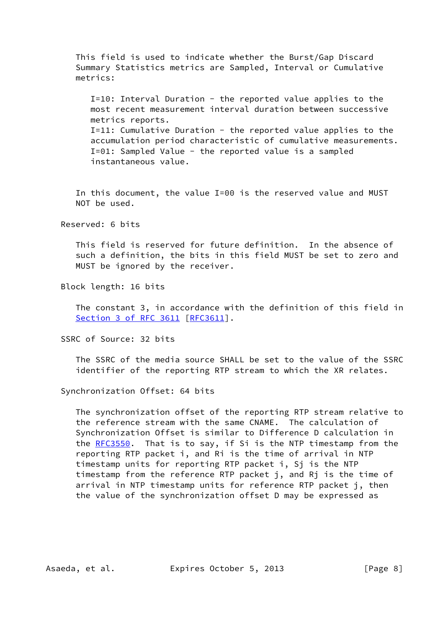This field is used to indicate whether the Burst/Gap Discard Summary Statistics metrics are Sampled, Interval or Cumulative metrics:

 I=10: Interval Duration - the reported value applies to the most recent measurement interval duration between successive metrics reports. I=11: Cumulative Duration - the reported value applies to the accumulation period characteristic of cumulative measurements. I=01: Sampled Value - the reported value is a sampled instantaneous value.

 In this document, the value I=00 is the reserved value and MUST NOT be used.

Reserved: 6 bits

 This field is reserved for future definition. In the absence of such a definition, the bits in this field MUST be set to zero and MUST be ignored by the receiver.

Block length: 16 bits

 The constant 3, in accordance with the definition of this field in Section [3 of RFC 3611](https://datatracker.ietf.org/doc/pdf/rfc3611#section-3) [\[RFC3611](https://datatracker.ietf.org/doc/pdf/rfc3611)].

SSRC of Source: 32 bits

 The SSRC of the media source SHALL be set to the value of the SSRC identifier of the reporting RTP stream to which the XR relates.

Synchronization Offset: 64 bits

 The synchronization offset of the reporting RTP stream relative to the reference stream with the same CNAME. The calculation of Synchronization Offset is similar to Difference D calculation in the [RFC3550](https://datatracker.ietf.org/doc/pdf/rfc3550). That is to say, if Si is the NTP timestamp from the reporting RTP packet i, and Ri is the time of arrival in NTP timestamp units for reporting RTP packet i, Sj is the NTP timestamp from the reference RTP packet j, and Rj is the time of arrival in NTP timestamp units for reference RTP packet j, then the value of the synchronization offset D may be expressed as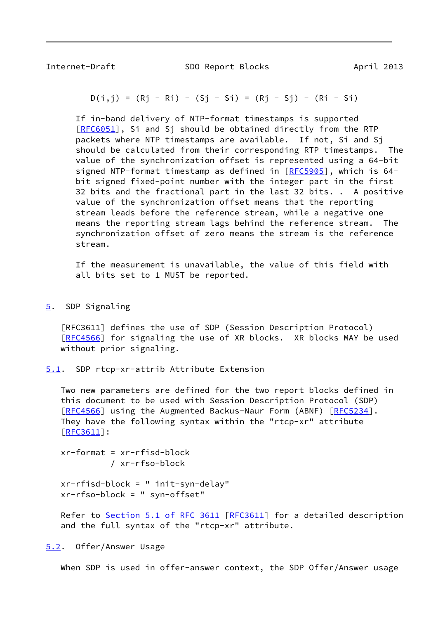<span id="page-9-1"></span>

Internet-Draft SDO Report Blocks April 2013

$$
D(i,j) = (Rj - Ri) - (Sj - Si) = (Rj - Sj) - (Ri - Si)
$$

 If in-band delivery of NTP-format timestamps is supported [[RFC6051\]](https://datatracker.ietf.org/doc/pdf/rfc6051), Si and Sj should be obtained directly from the RTP packets where NTP timestamps are available. If not, Si and Sj should be calculated from their corresponding RTP timestamps. The value of the synchronization offset is represented using a 64-bit signed NTP-format timestamp as defined in [\[RFC5905](https://datatracker.ietf.org/doc/pdf/rfc5905)], which is 64 bit signed fixed-point number with the integer part in the first 32 bits and the fractional part in the last 32 bits. . A positive value of the synchronization offset means that the reporting stream leads before the reference stream, while a negative one means the reporting stream lags behind the reference stream. The synchronization offset of zero means the stream is the reference stream.

 If the measurement is unavailable, the value of this field with all bits set to 1 MUST be reported.

<span id="page-9-0"></span>[5](#page-9-0). SDP Signaling

 [RFC3611] defines the use of SDP (Session Description Protocol) [\[RFC4566](https://datatracker.ietf.org/doc/pdf/rfc4566)] for signaling the use of XR blocks. XR blocks MAY be used without prior signaling.

<span id="page-9-2"></span>[5.1](#page-9-2). SDP rtcp-xr-attrib Attribute Extension

 Two new parameters are defined for the two report blocks defined in this document to be used with Session Description Protocol (SDP) [\[RFC4566](https://datatracker.ietf.org/doc/pdf/rfc4566)] using the Augmented Backus-Naur Form (ABNF) [[RFC5234](https://datatracker.ietf.org/doc/pdf/rfc5234)]. They have the following syntax within the "rtcp-xr" attribute [\[RFC3611](https://datatracker.ietf.org/doc/pdf/rfc3611)]:

```
 xr-format = xr-rfisd-block
/ xr-rfso-block
```
 xr-rfisd-block = " init-syn-delay" xr-rfso-block = " syn-offset"

Refer to Section [5.1 of RFC 3611](https://datatracker.ietf.org/doc/pdf/rfc3611#section-5.1) [\[RFC3611](https://datatracker.ietf.org/doc/pdf/rfc3611)] for a detailed description and the full syntax of the "rtcp-xr" attribute.

<span id="page-9-3"></span>[5.2](#page-9-3). Offer/Answer Usage

When SDP is used in offer-answer context, the SDP Offer/Answer usage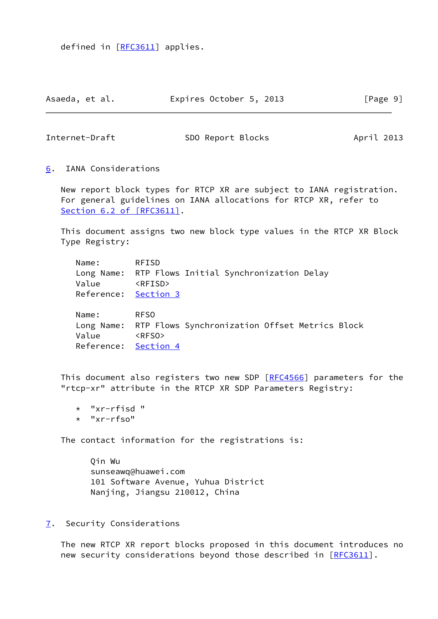defined in [[RFC3611\]](https://datatracker.ietf.org/doc/pdf/rfc3611) applies.

| Asaeda, et al. | Expires October 5, 2013 | [Page 9] |
|----------------|-------------------------|----------|
|----------------|-------------------------|----------|

<span id="page-10-1"></span>Internet-Draft SDO Report Blocks April 2013

<span id="page-10-0"></span>[6](#page-10-0). IANA Considerations

 New report block types for RTCP XR are subject to IANA registration. For general guidelines on IANA allocations for RTCP XR, refer to Section [6.2 of \[RFC3611\]](https://datatracker.ietf.org/doc/pdf/rfc3611#section-6.2).

 This document assigns two new block type values in the RTCP XR Block Type Registry:

 Name: RFISD Long Name: RTP Flows Initial Synchronization Delay Value <RFISD> Reference: [Section 3](#page-4-2)

 Name: RFSO Long Name: RTP Flows Synchronization Offset Metrics Block Value <RFSO> Reference: [Section 4](#page-6-0)

This document also registers two new SDP [\[RFC4566](https://datatracker.ietf.org/doc/pdf/rfc4566)] parameters for the "rtcp-xr" attribute in the RTCP XR SDP Parameters Registry:

- \* "xr-rfisd "
- \* "xr-rfso"

The contact information for the registrations is:

 Qin Wu sunseawq@huawei.com 101 Software Avenue, Yuhua District Nanjing, Jiangsu 210012, China

<span id="page-10-2"></span>[7](#page-10-2). Security Considerations

 The new RTCP XR report blocks proposed in this document introduces no new security considerations beyond those described in [[RFC3611](https://datatracker.ietf.org/doc/pdf/rfc3611)].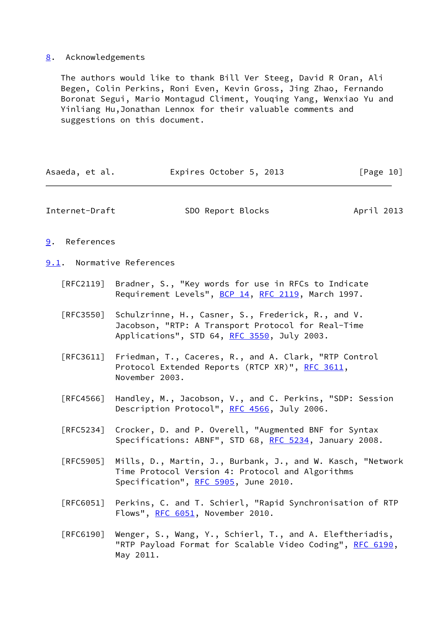# <span id="page-11-0"></span>[8](#page-11-0). Acknowledgements

 The authors would like to thank Bill Ver Steeg, David R Oran, Ali Begen, Colin Perkins, Roni Even, Kevin Gross, Jing Zhao, Fernando Boronat Segui, Mario Montagud Climent, Youqing Yang, Wenxiao Yu and Yinliang Hu,Jonathan Lennox for their valuable comments and suggestions on this document.

<span id="page-11-3"></span><span id="page-11-2"></span><span id="page-11-1"></span>

| Asaeda, et al.            | Expires October 5, 2013                                                                                                                                 | [Page 10]  |
|---------------------------|---------------------------------------------------------------------------------------------------------------------------------------------------------|------------|
| Internet-Draft            | SDO Report Blocks                                                                                                                                       | April 2013 |
| References<br>9.          |                                                                                                                                                         |            |
| 9.1. Normative References |                                                                                                                                                         |            |
| [RFC2119]                 | Bradner, S., "Key words for use in RFCs to Indicate<br>Requirement Levels", BCP 14, RFC 2119, March 1997.                                               |            |
| [REC3550]                 | Schulzrinne, H., Casner, S., Frederick, R., and V.<br>Jacobson, "RTP: A Transport Protocol for Real-Time<br>Applications", STD 64, RFC 3550, July 2003. |            |
| [RFC3611]                 | Friedman, T., Caceres, R., and A. Clark, "RTP Control<br>Protocol Extended Reports (RTCP XR)", RFC 3611,<br>November 2003.                              |            |
| $\lceil$ RFC4566]         | Handley, M., Jacobson, V., and C. Perkins, "SDP: Session<br>Description Protocol", RFC 4566, July 2006.                                                 |            |
| $\lceil$ RFC5234]         | Crocker, D. and P. Overell, "Augmented BNF for Syntax<br>Specifications: ABNF", STD 68, RFC 5234, January 2008.                                         |            |
| [RFC5905]                 | Mills, D., Martin, J., Burbank, J., and W. Kasch, "Network<br>Time Protocol Version 4: Protocol and Algorithms<br>Specification", RFC 5905, June 2010.  |            |
| [RFC6051]                 | Perkins, C. and T. Schierl, "Rapid Synchronisation of RTP<br>Flows", RFC 6051, November 2010.                                                           |            |
| [REG190]                  | Wenger, S., Wang, Y., Schierl, T., and A. Eleftheriadis,<br>"RTP Payload Format for Scalable Video Coding", RFC 6190,                                   |            |

May 2011.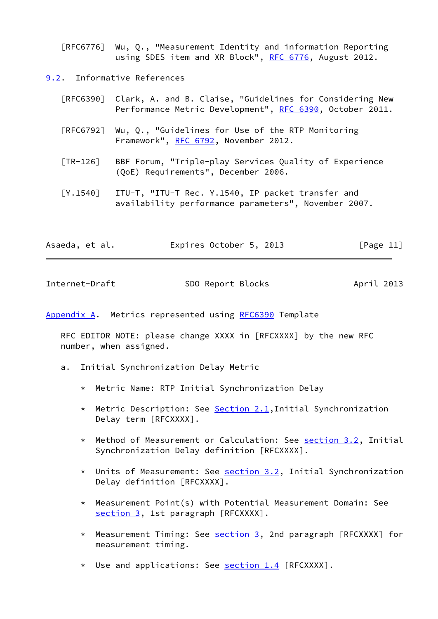[RFC6776] Wu, Q., "Measurement Identity and information Reporting using SDES item and XR Block", [RFC 6776](https://datatracker.ietf.org/doc/pdf/rfc6776), August 2012.

<span id="page-12-0"></span>[9.2](#page-12-0). Informative References

| [RFC6390] Clark, A. and B. Claise, "Guidelines for Considering New<br>Performance Metric Development", RFC 6390, October 2011. |
|--------------------------------------------------------------------------------------------------------------------------------|
| $[RFC6792]$ Wu, Q., "Guidelines for Use of the RTP Monitoring<br>Framework", RFC 6792, November 2012.                          |

- <span id="page-12-3"></span> [TR-126] BBF Forum, "Triple-play Services Quality of Experience (QoE) Requirements", December 2006.
- [Y.1540] ITU-T, "ITU-T Rec. Y.1540, IP packet transfer and availability performance parameters", November 2007.

| Asaeda, et al. | Expires October 5, 2013 | [Page 11] |
|----------------|-------------------------|-----------|
|                |                         |           |

<span id="page-12-2"></span>

| Internet-Draft | SDO Report Blocks | April 2013 |
|----------------|-------------------|------------|
|                |                   |            |

<span id="page-12-1"></span>[Appendix A.](#page-12-1) Metrics represented using [RFC6390](https://datatracker.ietf.org/doc/pdf/rfc6390) Template

 RFC EDITOR NOTE: please change XXXX in [RFCXXXX] by the new RFC number, when assigned.

- a. Initial Synchronization Delay Metric
	- \* Metric Name: RTP Initial Synchronization Delay
	- \* Metric Description: See [Section 2.1](#page-4-1), Initial Synchronization Delay term [RFCXXXX].
	- \* Method of Measurement or Calculation: See [section 3.2](#page-5-2), Initial Synchronization Delay definition [RFCXXXX].
	- \* Units of Measurement: See [section 3.2](#page-5-2), Initial Synchronization Delay definition [RFCXXXX].
	- \* Measurement Point(s) with Potential Measurement Domain: See [section 3,](#page-4-2) 1st paragraph [RFCXXXX].
	- \* Measurement Timing: See [section 3,](#page-4-2) 2nd paragraph [RFCXXXX] for measurement timing.
	- \* Use and applications: See **section 1.4** [RFCXXXX].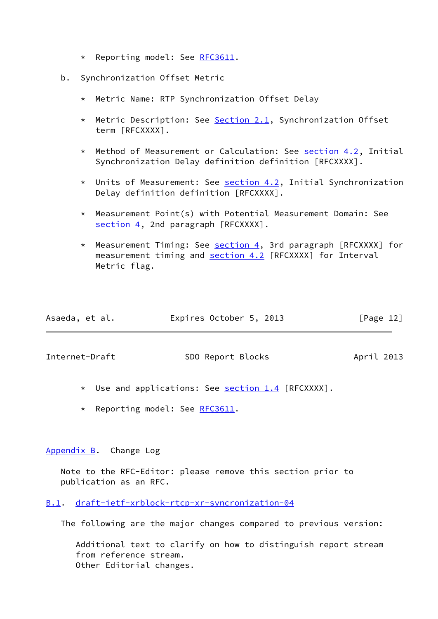- \* Reporting model: See [RFC3611.](https://datatracker.ietf.org/doc/pdf/rfc3611)
- b. Synchronization Offset Metric
	- \* Metric Name: RTP Synchronization Offset Delay
	- \* Metric Description: See [Section 2.1](#page-4-1), Synchronization Offset term [RFCXXXX].
	- \* Method of Measurement or Calculation: See [section 4.2](#page-7-1), Initial Synchronization Delay definition definition [RFCXXXX].
	- \* Units of Measurement: See [section 4.2](#page-7-1), Initial Synchronization Delay definition definition [RFCXXXX].
	- \* Measurement Point(s) with Potential Measurement Domain: See [section 4,](#page-6-0) 2nd paragraph [RFCXXXX].
	- \* Measurement Timing: See [section 4,](#page-6-0) 3rd paragraph [RFCXXXX] for measurement timing and [section 4.2](#page-7-1) [RFCXXXX] for Interval Metric flag.

| Asaeda, et al. | Expires October 5, 2013 | [Page 12] |
|----------------|-------------------------|-----------|
|                |                         |           |

<span id="page-13-1"></span>Internet-Draft SDO Report Blocks April 2013

- \* Use and applications: See [section 1.4](#page-2-4) [RFCXXXX].
- \* Reporting model: See [RFC3611.](https://datatracker.ietf.org/doc/pdf/rfc3611)

## <span id="page-13-0"></span>[Appendix B.](#page-13-0) Change Log

 Note to the RFC-Editor: please remove this section prior to publication as an RFC.

## <span id="page-13-2"></span>[B.1](#page-13-2). [draft-ietf-xrblock-rtcp-xr-syncronization-04](https://datatracker.ietf.org/doc/pdf/draft-ietf-xrblock-rtcp-xr-syncronization-04)

The following are the major changes compared to previous version:

 Additional text to clarify on how to distinguish report stream from reference stream. Other Editorial changes.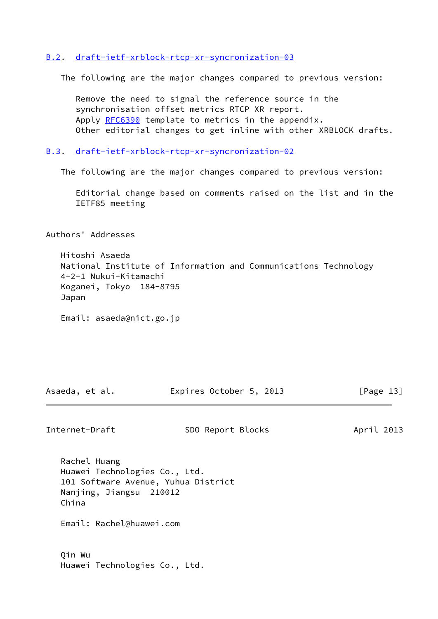## <span id="page-14-0"></span>[B.2](#page-14-0). [draft-ietf-xrblock-rtcp-xr-syncronization-03](https://datatracker.ietf.org/doc/pdf/draft-ietf-xrblock-rtcp-xr-syncronization-03)

The following are the major changes compared to previous version:

 Remove the need to signal the reference source in the synchronisation offset metrics RTCP XR report. Apply [RFC6390](https://datatracker.ietf.org/doc/pdf/rfc6390) template to metrics in the appendix. Other editorial changes to get inline with other XRBLOCK drafts.

<span id="page-14-1"></span>[B.3](#page-14-1). [draft-ietf-xrblock-rtcp-xr-syncronization-02](https://datatracker.ietf.org/doc/pdf/draft-ietf-xrblock-rtcp-xr-syncronization-02)

The following are the major changes compared to previous version:

 Editorial change based on comments raised on the list and in the IETF85 meeting

Authors' Addresses

 Hitoshi Asaeda National Institute of Information and Communications Technology 4-2-1 Nukui-Kitamachi Koganei, Tokyo 184-8795 Japan

Email: asaeda@nict.go.jp

Asaeda, et al. **Expires October 5, 2013** [Page 13]

Internet-Draft SDO Report Blocks April 2013

 Rachel Huang Huawei Technologies Co., Ltd. 101 Software Avenue, Yuhua District Nanjing, Jiangsu 210012 China

Email: Rachel@huawei.com

 Qin Wu Huawei Technologies Co., Ltd.